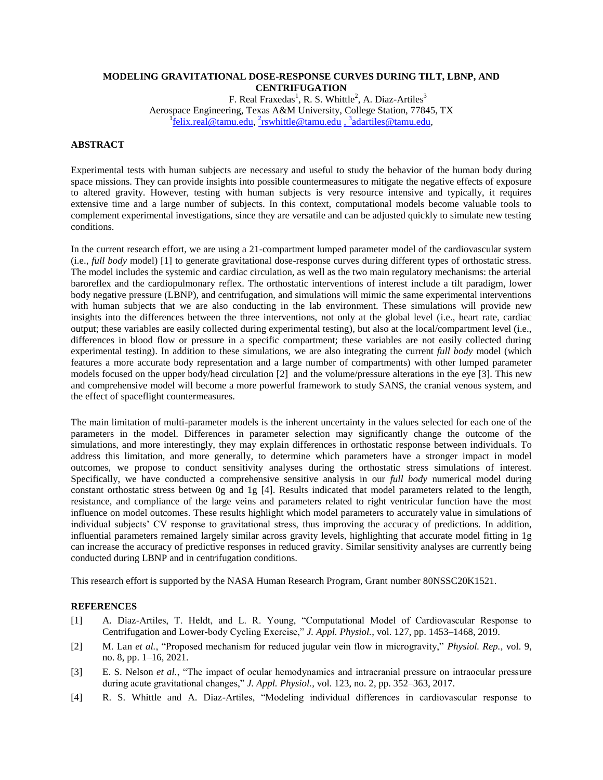## **MODELING GRAVITATIONAL DOSE-RESPONSE CURVES DURING TILT, LBNP, AND CENTRIFUGATION**

F. Real Fraxedas<sup>1</sup>, R. S. Whittle<sup>2</sup>, A. Diaz-Artiles<sup>3</sup> Aerospace Engineering, Texas A&M University, College Station, 77845, TX <sup>1</sup>[felix.real@tamu.edu,](mailto:felix.real@tamu.edu) <sup>2</sup>[rswhittle@tamu.edu](mailto:2rswhittle@tamu.edu), <sup>3</sup>[adartiles@tamu.edu,](mailto:3adartiles@tamu.edu)

## **ABSTRACT**

Experimental tests with human subjects are necessary and useful to study the behavior of the human body during space missions. They can provide insights into possible countermeasures to mitigate the negative effects of exposure to altered gravity. However, testing with human subjects is very resource intensive and typically, it requires extensive time and a large number of subjects. In this context, computational models become valuable tools to complement experimental investigations, since they are versatile and can be adjusted quickly to simulate new testing conditions.

In the current research effort, we are using a 21-compartment lumped parameter model of the cardiovascular system (i.e., *full body* model) [1] to generate gravitational dose-response curves during different types of orthostatic stress. The model includes the systemic and cardiac circulation, as well as the two main regulatory mechanisms: the arterial baroreflex and the cardiopulmonary reflex. The orthostatic interventions of interest include a tilt paradigm, lower body negative pressure (LBNP), and centrifugation, and simulations will mimic the same experimental interventions with human subjects that we are also conducting in the lab environment. These simulations will provide new insights into the differences between the three interventions, not only at the global level (i.e., heart rate, cardiac output; these variables are easily collected during experimental testing), but also at the local/compartment level (i.e., differences in blood flow or pressure in a specific compartment; these variables are not easily collected during experimental testing). In addition to these simulations, we are also integrating the current *full body* model (which features a more accurate body representation and a large number of compartments) with other lumped parameter models focused on the upper body/head circulation [2] and the volume/pressure alterations in the eye [3]. This new and comprehensive model will become a more powerful framework to study SANS, the cranial venous system, and the effect of spaceflight countermeasures.

The main limitation of multi-parameter models is the inherent uncertainty in the values selected for each one of the parameters in the model. Differences in parameter selection may significantly change the outcome of the simulations, and more interestingly, they may explain differences in orthostatic response between individuals. To address this limitation, and more generally, to determine which parameters have a stronger impact in model outcomes, we propose to conduct sensitivity analyses during the orthostatic stress simulations of interest. Specifically, we have conducted a comprehensive sensitive analysis in our *full body* numerical model during constant orthostatic stress between 0g and 1g [4]. Results indicated that model parameters related to the length, resistance, and compliance of the large veins and parameters related to right ventricular function have the most influence on model outcomes. These results highlight which model parameters to accurately value in simulations of individual subjects' CV response to gravitational stress, thus improving the accuracy of predictions. In addition, influential parameters remained largely similar across gravity levels, highlighting that accurate model fitting in 1g can increase the accuracy of predictive responses in reduced gravity. Similar sensitivity analyses are currently being conducted during LBNP and in centrifugation conditions.

This research effort is supported by the NASA Human Research Program, Grant number 80NSSC20K1521.

## **REFERENCES**

- [1] A. Diaz-Artiles, T. Heldt, and L. R. Young, "Computational Model of Cardiovascular Response to Centrifugation and Lower-body Cycling Exercise," *J. Appl. Physiol.*, vol. 127, pp. 1453–1468, 2019.
- [2] M. Lan *et al.*, "Proposed mechanism for reduced jugular vein flow in microgravity," *Physiol. Rep.*, vol. 9, no. 8, pp. 1–16, 2021.
- [3] E. S. Nelson *et al.*, "The impact of ocular hemodynamics and intracranial pressure on intraocular pressure during acute gravitational changes," *J. Appl. Physiol.*, vol. 123, no. 2, pp. 352–363, 2017.
- [4] R. S. Whittle and A. Diaz-Artiles, "Modeling individual differences in cardiovascular response to